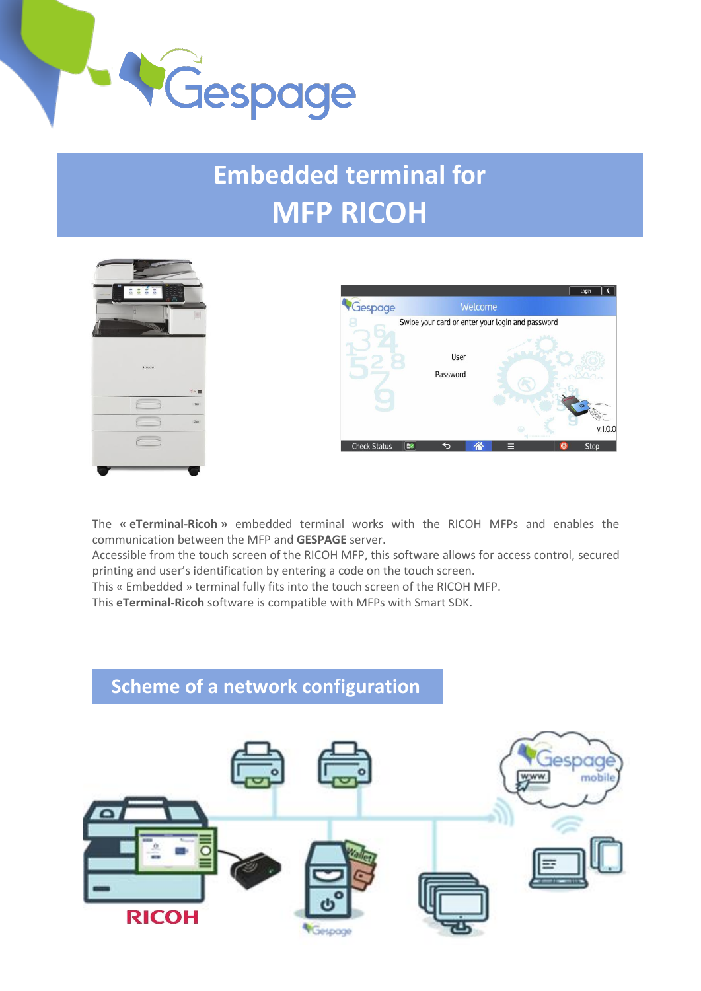

# **Embedded terminal for MFP RICOH**





The **« eTerminal-Ricoh »** embedded terminal works with the RICOH MFPs and enables the communication between the MFP and **GESPAGE** server.

Accessible from the touch screen of the RICOH MFP, this software allows for access control, secured printing and user's identification by entering a code on the touch screen.

This « Embedded » terminal fully fits into the touch screen of the RICOH MFP.

This **eTerminal-Ricoh** software is compatible with MFPs with Smart SDK.

## **Scheme of a network configuration**